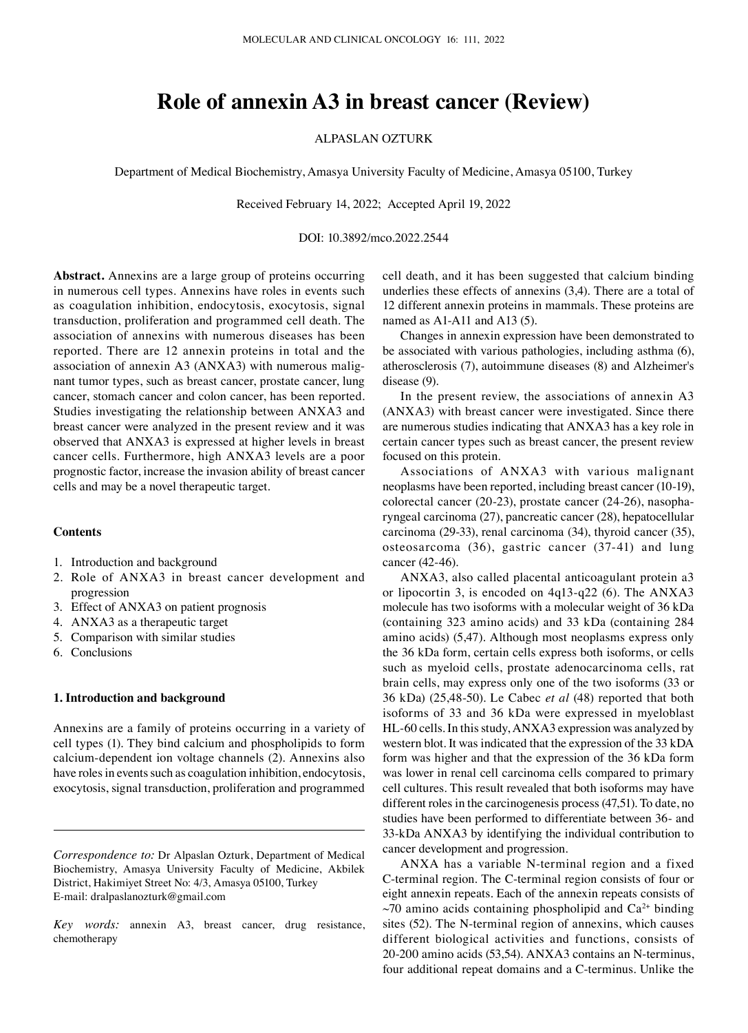# **Role of annexin A3 in breast cancer (Review)**

# ALPASLAN OZTURK

Department of Medical Biochemistry, Amasya University Faculty of Medicine, Amasya 05100, Turkey

Received February 14, 2022; Accepted April 19, 2022

# DOI: 10.3892/mco.2022.2544

**Abstract.** Annexins are a large group of proteins occurring in numerous cell types. Annexins have roles in events such as coagulation inhibition, endocytosis, exocytosis, signal transduction, proliferation and programmed cell death. The association of annexins with numerous diseases has been reported. There are 12 annexin proteins in total and the association of annexin A3 (ANXA3) with numerous malignant tumor types, such as breast cancer, prostate cancer, lung cancer, stomach cancer and colon cancer, has been reported. Studies investigating the relationship between ANXA3 and breast cancer were analyzed in the present review and it was observed that ANXA3 is expressed at higher levels in breast cancer cells. Furthermore, high ANXA3 levels are a poor prognostic factor, increase the invasion ability of breast cancer cells and may be a novel therapeutic target.

# **Contents**

- 1. Introduction and background
- 2. Role of ANXA3 in breast cancer development and progression
- 3. Effect of ANXA3 on patient prognosis
- 4. ANXA3 as a therapeutic target
- 5. Comparison with similar studies
- 6. Conclusions

# **1. Introduction and background**

Annexins are a family of proteins occurring in a variety of cell types (1). They bind calcium and phospholipids to form calcium‑dependent ion voltage channels (2). Annexins also have roles in events such as coagulation inhibition, endocytosis, exocytosis, signal transduction, proliferation and programmed cell death, and it has been suggested that calcium binding underlies these effects of annexins (3,4). There are a total of 12 different annexin proteins in mammals. These proteins are named as A1-A11 and A13 (5).

Changes in annexin expression have been demonstrated to be associated with various pathologies, including asthma (6), atherosclerosis (7), autoimmune diseases (8) and Alzheimer's disease (9).

In the present review, the associations of annexin A3 (ANXA3) with breast cancer were investigated. Since there are numerous studies indicating that ANXA3 has a key role in certain cancer types such as breast cancer, the present review focused on this protein.

Associations of ANXA3 with various malignant neoplasms have been reported, including breast cancer (10‑19), colorectal cancer (20‑23), prostate cancer (24‑26), nasopha‑ ryngeal carcinoma (27), pancreatic cancer (28), hepatocellular carcinoma (29‑33), renal carcinoma (34), thyroid cancer (35), osteosarcoma (36), gastric cancer (37‑41) and lung cancer (42‑46).

ANXA3, also called placental anticoagulant protein a3 or lipocortin 3, is encoded on 4q13‑q22 (6). The ANXA3 molecule has two isoforms with a molecular weight of 36 kDa (containing 323 amino acids) and 33 kDa (containing 284 amino acids) (5,47). Although most neoplasms express only the 36 kDa form, certain cells express both isoforms, or cells such as myeloid cells, prostate adenocarcinoma cells, rat brain cells, may express only one of the two isoforms (33 or 36 kDa) (25,48‑50). Le Cabec *et al* (48) reported that both isoforms of 33 and 36 kDa were expressed in myeloblast HL-60 cells. In this study, ANXA3 expression was analyzed by western blot. It was indicated that the expression of the 33 kDA form was higher and that the expression of the 36 kDa form was lower in renal cell carcinoma cells compared to primary cell cultures. This result revealed that both isoforms may have different roles in the carcinogenesis process (47,51). To date, no studies have been performed to differentiate between 36‑ and 33‑kDa ANXA3 by identifying the individual contribution to cancer development and progression.

ANXA has a variable N‑terminal region and a fixed C‑terminal region. The C‑terminal region consists of four or eight annexin repeats. Each of the annexin repeats consists of  $\sim$ 70 amino acids containing phospholipid and Ca<sup>2+</sup> binding sites (52). The N-terminal region of annexins, which causes different biological activities and functions, consists of 20‑200 amino acids (53,54). ANXA3 contains an N‑terminus, four additional repeat domains and a C‑terminus. Unlike the

*Correspondence to:* Dr Alpaslan Ozturk, Department of Medical Biochemistry, Amasya University Faculty of Medicine, Akbilek District, Hakimiyet Street No: 4/3, Amasya 05100, Turkey E‑mail: dralpaslanozturk@gmail.com

*Key words:* annexin A3, breast cancer, drug resistance, chemotherapy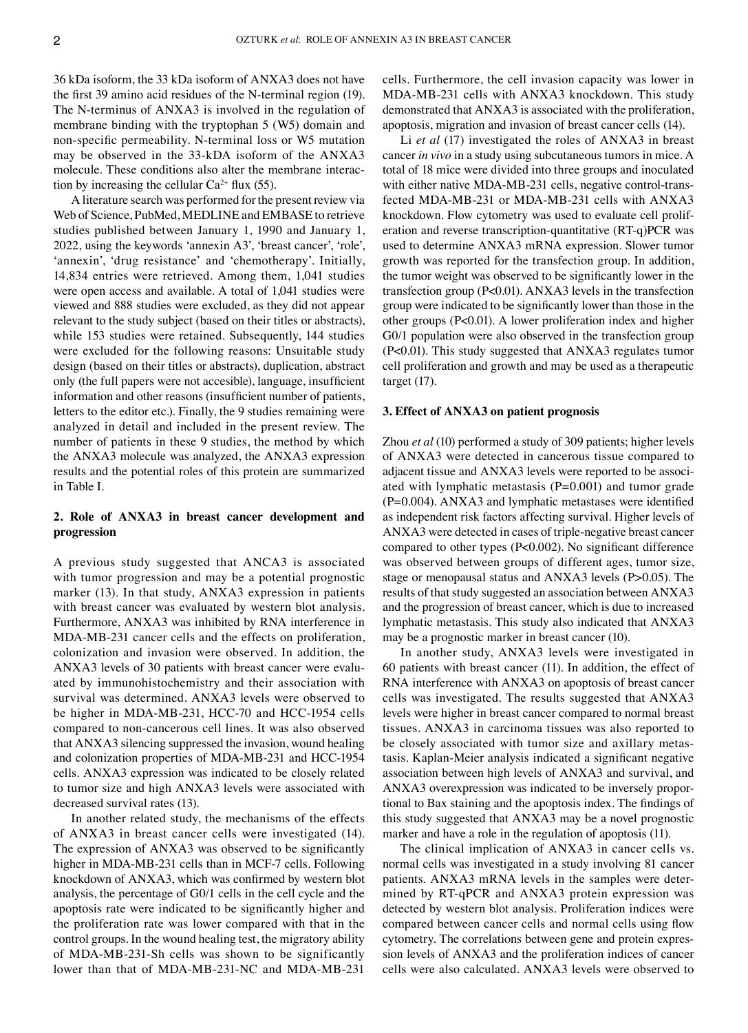36 kDa isoform, the 33 kDa isoform of ANXA3 does not have the first 39 amino acid residues of the N‑terminal region (19). The N-terminus of ANXA3 is involved in the regulation of membrane binding with the tryptophan 5 (W5) domain and non‑specific permeability. N‑terminal loss or W5 mutation may be observed in the 33‑kDA isoform of the ANXA3 molecule. These conditions also alter the membrane interaction by increasing the cellular  $Ca^{2+}$  flux (55).

A literature search was performed for the present review via Web of Science, PubMed, MEDLINE and EMBASE to retrieve studies published between January 1, 1990 and January 1, 2022, using the keywords 'annexin A3', 'breast cancer', 'role', 'annexin', 'drug resistance' and 'chemotherapy'. Initially, 14,834 entries were retrieved. Among them, 1,041 studies were open access and available. A total of 1,041 studies were viewed and 888 studies were excluded, as they did not appear relevant to the study subject (based on their titles or abstracts), while 153 studies were retained. Subsequently, 144 studies were excluded for the following reasons: Unsuitable study design (based on their titles or abstracts), duplication, abstract only (the full papers were not accesible), language, insufficient information and other reasons (insufficient number of patients, letters to the editor etc.). Finally, the 9 studies remaining were analyzed in detail and included in the present review. The number of patients in these 9 studies, the method by which the ANXA3 molecule was analyzed, the ANXA3 expression results and the potential roles of this protein are summarized in Table I.

# **2. Role of ANXA3 in breast cancer development and progression**

A previous study suggested that ANCA3 is associated with tumor progression and may be a potential prognostic marker (13). In that study, ANXA3 expression in patients with breast cancer was evaluated by western blot analysis. Furthermore, ANXA3 was inhibited by RNA interference in MDA‑MB‑231 cancer cells and the effects on proliferation, colonization and invasion were observed. In addition, the ANXA3 levels of 30 patients with breast cancer were evaluated by immunohistochemistry and their association with survival was determined. ANXA3 levels were observed to be higher in MDA-MB-231, HCC-70 and HCC-1954 cells compared to non‑cancerous cell lines. It was also observed that ANXA3 silencing suppressed the invasion, wound healing and colonization properties of MDA-MB-231 and HCC-1954 cells. ANXA3 expression was indicated to be closely related to tumor size and high ANXA3 levels were associated with decreased survival rates (13).

In another related study, the mechanisms of the effects of ANXA3 in breast cancer cells were investigated (14). The expression of ANXA3 was observed to be significantly higher in MDA-MB-231 cells than in MCF-7 cells. Following knockdown of ANXA3, which was confirmed by western blot analysis, the percentage of G0/1 cells in the cell cycle and the apoptosis rate were indicated to be significantly higher and the proliferation rate was lower compared with that in the control groups. In the wound healing test, the migratory ability of MDA‑MB‑231‑Sh cells was shown to be significantly lower than that of MDA‑MB‑231‑NC and MDA‑MB‑231

cells. Furthermore, the cell invasion capacity was lower in MDA‑MB‑231 cells with ANXA3 knockdown. This study demonstrated that ANXA3 is associated with the proliferation, apoptosis, migration and invasion of breast cancer cells (14).

Li *et al* (17) investigated the roles of ANXA3 in breast cancer *in vivo* in a study using subcutaneous tumors in mice. A total of 18 mice were divided into three groups and inoculated with either native MDA-MB-231 cells, negative control-transfected MDA‑MB‑231 or MDA‑MB‑231 cells with ANXA3 knockdown. Flow cytometry was used to evaluate cell proliferation and reverse transcription‑quantitative (RT‑q)PCR was used to determine ANXA3 mRNA expression. Slower tumor growth was reported for the transfection group. In addition, the tumor weight was observed to be significantly lower in the transfection group (P<0.01). ANXA3 levels in the transfection group were indicated to be significantly lower than those in the other groups (P<0.01). A lower proliferation index and higher G0/1 population were also observed in the transfection group (P<0.01). This study suggested that ANXA3 regulates tumor cell proliferation and growth and may be used as a therapeutic target (17).

# **3. Effect of ANXA3 on patient prognosis**

Zhou *et al* (10) performed a study of 309 patients; higher levels of ANXA3 were detected in cancerous tissue compared to adjacent tissue and ANXA3 levels were reported to be associated with lymphatic metastasis  $(P=0.001)$  and tumor grade (P=0.004). ANXA3 and lymphatic metastases were identified as independent risk factors affecting survival. Higher levels of ANXA3 were detected in cases of triple‑negative breast cancer compared to other types (P<0.002). No significant difference was observed between groups of different ages, tumor size, stage or menopausal status and ANXA3 levels (P>0.05). The results of that study suggested an association between ANXA3 and the progression of breast cancer, which is due to increased lymphatic metastasis. This study also indicated that ANXA3 may be a prognostic marker in breast cancer (10).

In another study, ANXA3 levels were investigated in 60 patients with breast cancer (11). In addition, the effect of RNA interference with ANXA3 on apoptosis of breast cancer cells was investigated. The results suggested that ANXA3 levels were higher in breast cancer compared to normal breast tissues. ANXA3 in carcinoma tissues was also reported to be closely associated with tumor size and axillary metastasis. Kaplan‑Meier analysis indicated a significant negative association between high levels of ANXA3 and survival, and ANXA3 overexpression was indicated to be inversely proportional to Bax staining and the apoptosis index. The findings of this study suggested that ANXA3 may be a novel prognostic marker and have a role in the regulation of apoptosis (11).

The clinical implication of ANXA3 in cancer cells vs. normal cells was investigated in a study involving 81 cancer patients. ANXA3 mRNA levels in the samples were determined by RT‑qPCR and ANXA3 protein expression was detected by western blot analysis. Proliferation indices were compared between cancer cells and normal cells using flow cytometry. The correlations between gene and protein expression levels of ANXA3 and the proliferation indices of cancer cells were also calculated. ANXA3 levels were observed to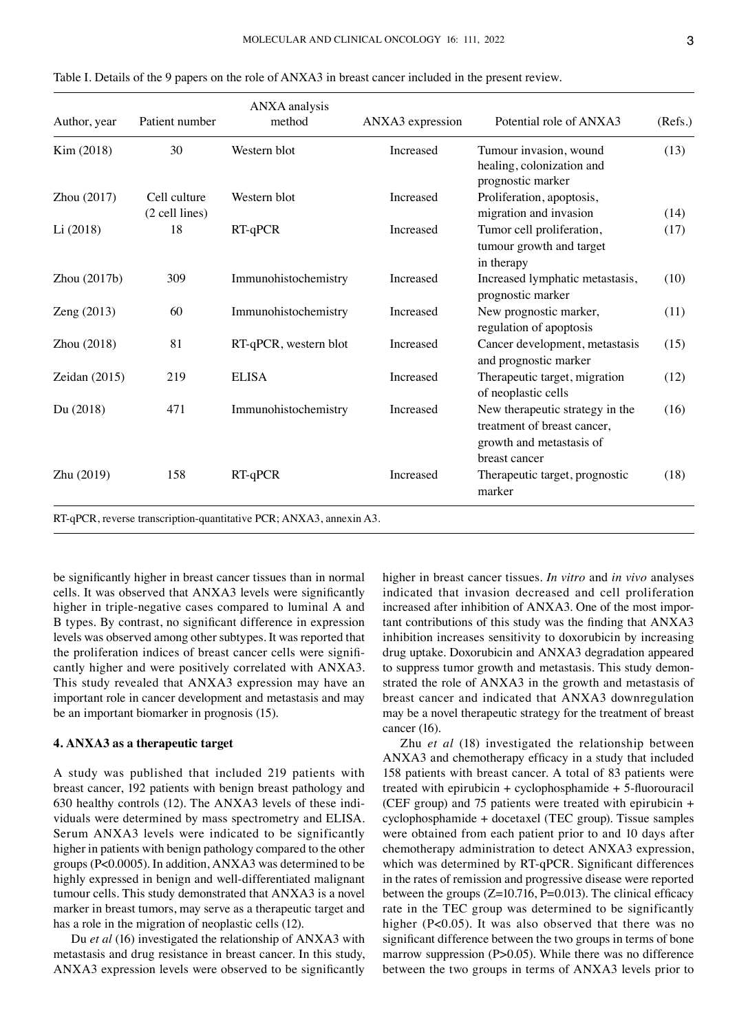| Author, year    | Patient number | ANXA analysis<br>method | ANXA3 expression | Potential role of ANXA3                                                                                     | (Refs.) |
|-----------------|----------------|-------------------------|------------------|-------------------------------------------------------------------------------------------------------------|---------|
| Kim (2018)      | 30             | Western blot            | Increased        | Tumour invasion, wound<br>healing, colonization and<br>prognostic marker                                    | (13)    |
| Zhou (2017)     | Cell culture   | Western blot            | Increased        | Proliferation, apoptosis,                                                                                   |         |
|                 | (2 cell lines) |                         |                  | migration and invasion                                                                                      | (14)    |
| Li(2018)        | 18             | RT-qPCR                 | Increased        | Tumor cell proliferation,<br>tumour growth and target<br>in therapy                                         | (17)    |
| Zhou $(2017b)$  | 309            | Immunohistochemistry    | Increased        | Increased lymphatic metastasis,<br>prognostic marker                                                        | (10)    |
| Zeng (2013)     | 60             | Immunohistochemistry    | Increased        | New prognostic marker,<br>regulation of apoptosis                                                           | (11)    |
| Zhou $(2018)$   | 81             | RT-qPCR, western blot   | Increased        | Cancer development, metastasis<br>and prognostic marker                                                     | (15)    |
| Zeidan $(2015)$ | 219            | <b>ELISA</b>            | Increased        | Therapeutic target, migration<br>of neoplastic cells                                                        | (12)    |
| Du (2018)       | 471            | Immunohistochemistry    | Increased        | New therapeutic strategy in the<br>treatment of breast cancer,<br>growth and metastasis of<br>breast cancer | (16)    |
| Zhu (2019)      | 158            | $RT-qPCR$               | Increased        | Therapeutic target, prognostic<br>marker                                                                    | (18)    |

Table I. Details of the 9 papers on the role of ANXA3 in breast cancer included in the present review.

be significantly higher in breast cancer tissues than in normal cells. It was observed that ANXA3 levels were significantly higher in triple-negative cases compared to luminal A and B types. By contrast, no significant difference in expression levels was observed among other subtypes. It was reported that the proliferation indices of breast cancer cells were significantly higher and were positively correlated with ANXA3. This study revealed that ANXA3 expression may have an important role in cancer development and metastasis and may be an important biomarker in prognosis (15).

#### **4. ANXA3 as a therapeutic target**

A study was published that included 219 patients with breast cancer, 192 patients with benign breast pathology and 630 healthy controls (12). The ANXA3 levels of these individuals were determined by mass spectrometry and ELISA. Serum ANXA3 levels were indicated to be significantly higher in patients with benign pathology compared to the other groups (P<0.0005). In addition, ANXA3 was determined to be highly expressed in benign and well-differentiated malignant tumour cells. This study demonstrated that ANXA3 is a novel marker in breast tumors, may serve as a therapeutic target and has a role in the migration of neoplastic cells (12).

Du *et al* (16) investigated the relationship of ANXA3 with metastasis and drug resistance in breast cancer. In this study, ANXA3 expression levels were observed to be significantly higher in breast cancer tissues. *In vitro* and *in vivo* analyses indicated that invasion decreased and cell proliferation increased after inhibition of ANXA3. One of the most important contributions of this study was the finding that ANXA3 inhibition increases sensitivity to doxorubicin by increasing drug uptake. Doxorubicin and ANXA3 degradation appeared to suppress tumor growth and metastasis. This study demonstrated the role of ANXA3 in the growth and metastasis of breast cancer and indicated that ANXA3 downregulation may be a novel therapeutic strategy for the treatment of breast cancer (16).

Zhu *et al* (18) investigated the relationship between ANXA3 and chemotherapy efficacy in a study that included 158 patients with breast cancer. A total of 83 patients were treated with epirubicin + cyclophosphamide + 5‑fluorouracil (CEF group) and 75 patients were treated with epirubicin + cyclophosphamide + docetaxel (TEC group). Tissue samples were obtained from each patient prior to and 10 days after chemotherapy administration to detect ANXA3 expression, which was determined by RT-qPCR. Significant differences in the rates of remission and progressive disease were reported between the groups  $(Z=10.716, P=0.013)$ . The clinical efficacy rate in the TEC group was determined to be significantly higher (P<0.05). It was also observed that there was no significant difference between the two groups in terms of bone marrow suppression (P>0.05). While there was no difference between the two groups in terms of ANXA3 levels prior to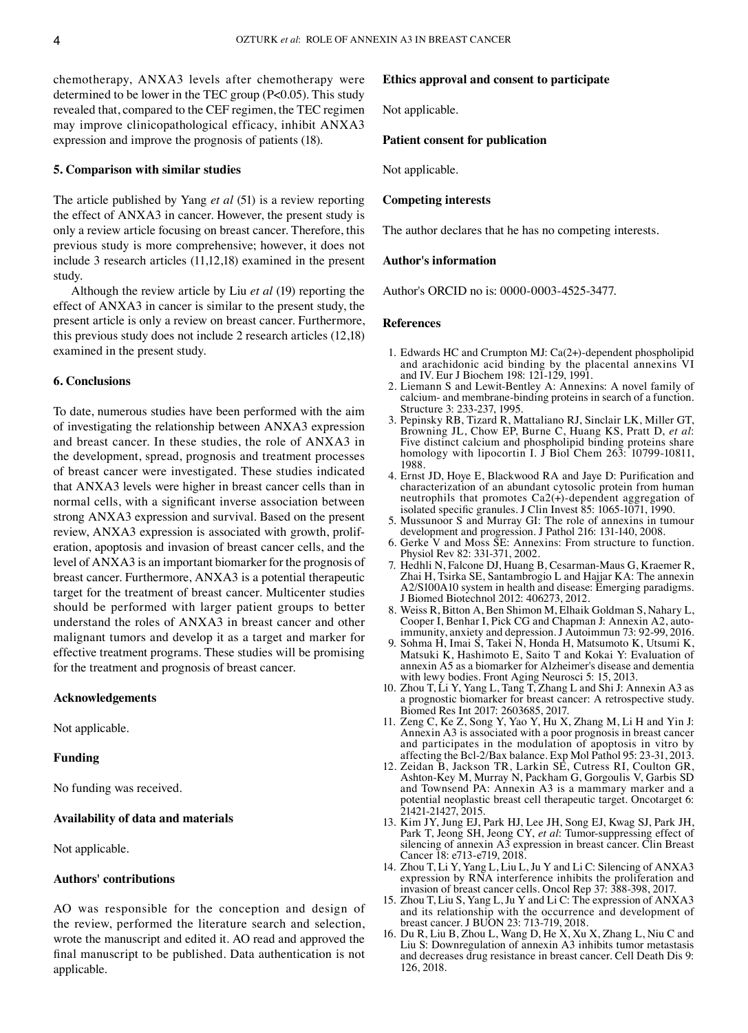chemotherapy, ANXA3 levels after chemotherapy were determined to be lower in the TEC group (P<0.05). This study revealed that, compared to the CEF regimen, the TEC regimen may improve clinicopathological efficacy, inhibit ANXA3 expression and improve the prognosis of patients (18).

#### **5. Comparison with similar studies**

The article published by Yang *et al* (51) is a review reporting the effect of ANXA3 in cancer. However, the present study is only a review article focusing on breast cancer. Therefore, this previous study is more comprehensive; however, it does not include 3 research articles (11,12,18) examined in the present study.

Although the review article by Liu *et al* (19) reporting the effect of ANXA3 in cancer is similar to the present study, the present article is only a review on breast cancer. Furthermore, this previous study does not include 2 research articles (12,18) examined in the present study.

#### **6. Conclusions**

To date, numerous studies have been performed with the aim of investigating the relationship between ANXA3 expression and breast cancer. In these studies, the role of ANXA3 in the development, spread, prognosis and treatment processes of breast cancer were investigated. These studies indicated that ANXA3 levels were higher in breast cancer cells than in normal cells, with a significant inverse association between strong ANXA3 expression and survival. Based on the present review, ANXA3 expression is associated with growth, proliferation, apoptosis and invasion of breast cancer cells, and the level of ANXA3 is an important biomarker for the prognosis of breast cancer. Furthermore, ANXA3 is a potential therapeutic target for the treatment of breast cancer. Multicenter studies should be performed with larger patient groups to better understand the roles of ANXA3 in breast cancer and other malignant tumors and develop it as a target and marker for effective treatment programs. These studies will be promising for the treatment and prognosis of breast cancer.

## **Acknowledgements**

Not applicable.

## **Funding**

No funding was received.

## **Availability of data and materials**

Not applicable.

# **Authors' contributions**

AO was responsible for the conception and design of the review, performed the literature search and selection, wrote the manuscript and edited it. AO read and approved the final manuscript to be published. Data authentication is not applicable.

#### **Ethics approval and consent to participate**

Not applicable.

#### **Patient consent for publication**

Not applicable.

#### **Competing interests**

The author declares that he has no competing interests.

### **Author's information**

Author's ORCID no is: 0000-0003-4525-3477.

#### **References**

- 1. Edwards HC and Crumpton MJ: Ca(2+)‑dependent phospholipid and arachidonic acid binding by the placental annexins VI and IV. Eur J Biochem 198: 121‑129, 1991.
- 2. Liemann S and Lewit‑Bentley A: Annexins: A novel family of calcium‑ and membrane‑binding proteins in search of a function. Structure 3: 233‑237, 1995.
- 3. Pepinsky RB, Tizard R, Mattaliano RJ, Sinclair LK, Miller GT, Browning JL, Chow EP, Burne C, Huang KS, Pratt D, *et al*: Five distinct calcium and phospholipid binding proteins share homology with lipocortin I. J Biol Chem 263: 10799-10811, 1988.
- 4. Ernst JD, Hoye E, Blackwood RA and Jaye D: Purification and characterization of an abundant cytosolic protein from human neutrophils that promotes  $Ca2(+)$ -dependent aggregation of isolated specific granules. J Clin Invest 85: 1065‑1071, 1990.
- 5. Mussunoor S and Murray GI: The role of annexins in tumour development and progression. J Pathol 216: 131‑140, 2008.
- 6. Gerke V and Moss SE: Annexins: From structure to function. Physiol Rev 82: 331‑371, 2002.
- 7. Hedhli N, Falcone DJ, Huang B, Cesarman‑Maus G, Kraemer R, Zhai H, Tsirka SE, Santambrogio L and Hajjar KA: The annexin A2/S100A10 system in health and disease: Emerging paradigms. J Biomed Biotechnol 2012: 406273, 2012.
- 8. Weiss R, Bitton A, Ben Shimon M, Elhaik Goldman S, Nahary L, immunity, anxiety and depression. J Autoimmun 73: 92‑99, 2016.
- 9. Sohma H, Imai S, Takei N, Honda H, Matsumoto K, Utsumi K, Matsuki K, Hashimoto E, Saito T and Kokai Y: Evaluation of annexin A5 as a biomarker for Alzheimer's disease and dementia with lewy bodies. Front Aging Neurosci 5: 15, 2013.
- 10. Zhou T, Li Y, Yang L, Tang T, Zhang L and Shi J: Annexin A3 as a prognostic biomarker for breast cancer: A retrospective study. Biomed Res Int 2017: 2603685, 2017.
- 11. Zeng C, Ke Z, Song Y, Yao Y, Hu X, Zhang M, Li H and Yin J: Annexin A3 is associated with a poor prognosis in breast cancer and participates in the modulation of apoptosis in vitro by affecting the Bcl‑2/Bax balance. Exp Mol Pathol 95: 23‑31, 2013.
- 12. Zeidan B, Jackson TR, Larkin SE, Cutress RI, Coulton GR, Ashton‑Key M, Murray N, Packham G, Gorgoulis V, Garbis SD and Townsend PA: Annexin A3 is a mammary marker and a potential neoplastic breast cell therapeutic target. Oncotarget 6: 21421‑21427, 2015.
- 13. Kim JY, Jung EJ, Park HJ, Lee JH, Song EJ, Kwag SJ, Park JH, Park T, Jeong SH, Jeong CY, et al: Tumor-suppressing effect of silencing of annexin A3 expression in breast cancer. Clin Breast Cancer 18: e713‑e719, 2018.
- 14. Zhou T, Li Y, Yang L, Liu L, Ju Y and Li C: Silencing of ANXA3 expression by RNA interference inhibits the proliferation and invasion of breast cancer cells. Oncol Rep 37: 388‑398, 2017.
- 15. Zhou T, Liu S, Yang L, Ju Y and Li C: The expression of ANXA3 and its relationship with the occurrence and development of breast cancer. J BUON 23: 713‑719, 2018.
- 16. Du R, Liu B, Zhou L, Wang D, He X, Xu X, Zhang L, Niu C and Liu S: Downregulation of annexin A3 inhibits tumor metastasis and decreases drug resistance in breast cancer. Cell Death Dis 9: 126, 2018.